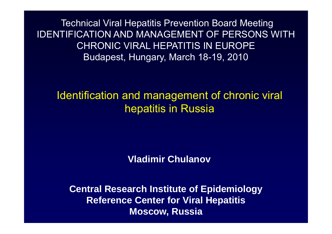Technical Viral Hepatitis Prevention Board Meeting IDENTIFICATION AND MANAGEMENT OF PERSONS WITH CHRONIC VIRAL HEPATITIS IN EUROPEBudapest, Hungary, March 18-19, 2010

Identification and management of chronic viral hepatitis in Russia

**Vladimir Chulanov**

**Central Research Institute of Epidemiology Reference Center for Viral Hepatitis Moscow, Russia**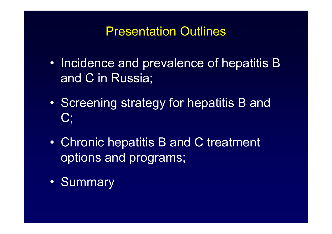# Presentation Outlines

- •• Incidence and prevalence of hepatitis B and C in Russia;
- •• Screening strategy for hepatitis B and  $C$ :
- $\bullet$  Chronic hepatitis B and C treatment options and programs;
- •Summary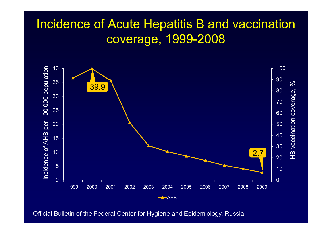# Incidence of Acute Hepatitis B and vaccination coverage, 1999-2008



Official Bulletin of the Federal Center for Hygiene and Epidemiology, Russia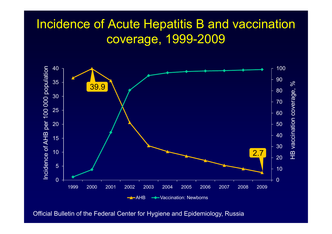# Incidence of Acute Hepatitis B and vaccination coverage, 1999-2009



Official Bulletin of the Federal Center for Hygiene and Epidemiology, Russia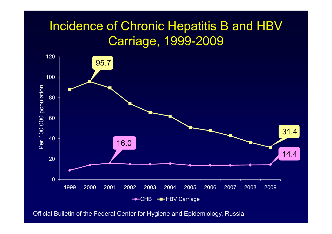# Incidence of Chronic Hepatitis B and HBV Carriage, 1999-2009



Official Bulletin of the Federal Center for Hygiene and Epidemiology, Russia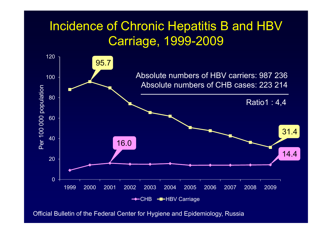# Incidence of Chronic Hepatitis B and HBV Carriage, 1999-2009



Official Bulletin of the Federal Center for Hygiene and Epidemiology, Russia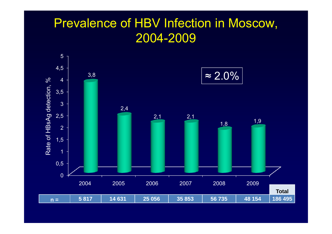# Prevalence of HBV Infection in Moscow, 2004-2009

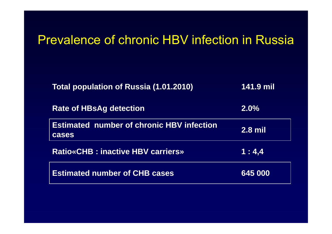### Prevalence of chronic HBV infection in Russia

| Total population of Russia (1.01.2010)                    | 141.9 mil |
|-----------------------------------------------------------|-----------|
| <b>Rate of HBsAg detection</b>                            | 2.0%      |
| <b>Estimated number of chronic HBV infection</b><br>cases | $2.8$ mil |
| <b>Ratio«CHB: inactive HBV carriers»</b>                  | 1:4.4     |
| <b>Estimated number of CHB cases</b>                      | 645 000   |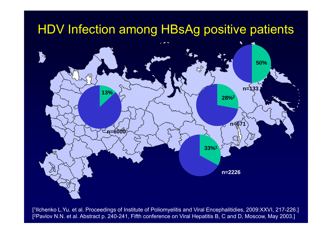# HDV Infection among HBsAg positive patients



[<sup>1</sup>Ilchenko L.Yu. et al. Proceedings of Institute of Poliomyelitis and Viral Encephalitidies, 2009:XXVI, 217-226.] [2Pavlov N.N. et al. Abstract p. 240-241, Fifth conference on Viral Hepatitis B, C and D, Moscow, May 2003.]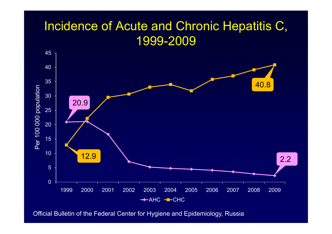# Incidence of Acute and Chronic Hepatitis C, 1999-2009



Official Bulletin of the Federal Center for Hygiene and Epidemiology, Russia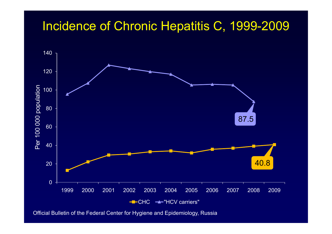#### Incidence of Chronic Hepatitis C, 1999-2009



Official Bulletin of the Federal Center for Hygiene and Epidemiology, Russia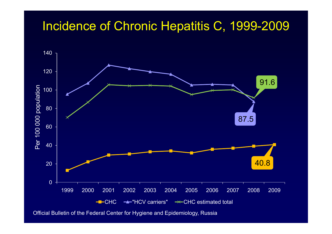#### Incidence of Chronic Hepatitis C, 1999-2009



Official Bulletin of the Federal Center for Hygiene and Epidemiology, Russia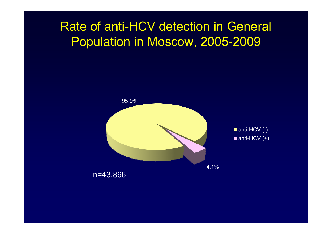## Rate of anti-HCV detection in General Population in Moscow, 2005-2009

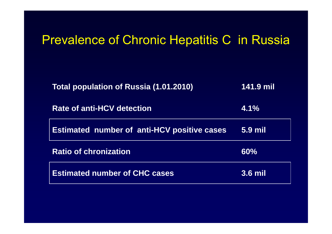## Prevalence of Chronic Hepatitis C in Russia

| <b>Total population of Russia (1.01.2010)</b>      | 141.9 mil      |
|----------------------------------------------------|----------------|
| <b>Rate of anti-HCV detection</b>                  | 4.1%           |
| <b>Estimated number of anti-HCV positive cases</b> | <b>5.9 mil</b> |
| <b>Ratio of chronization</b>                       | 60%            |
| <b>Estimated number of CHC cases</b>               | $3.6$ mil      |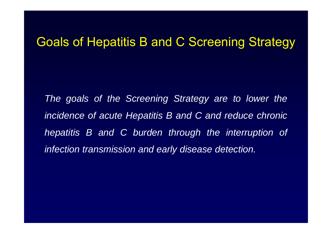#### Goals of Hepatitis B and C Screening Strategy

*The goals of the Screening Strategy are to lower the incidence of acute Hepatitis B and C and reduce chronic hepatitis B and C burden through the interruption of infection transmission and early disease detection.*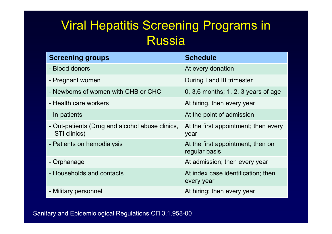# Viral Hepatitis Screening Programs in Russia

| <b>Screening groups</b>                                         | <b>Schedule</b>                                    |
|-----------------------------------------------------------------|----------------------------------------------------|
| - Blood donors                                                  | At every donation                                  |
| - Pregnant women                                                | During I and III trimester                         |
| - Newborns of women with CHB or CHC                             | 0, 3,6 months; 1, 2, 3 years of age                |
| - Health care workers                                           | At hiring, then every year                         |
| - In-patients                                                   | At the point of admission                          |
| - Out-patients (Drug and alcohol abuse clinics,<br>STI clinics) | At the first appointment; then every<br>year       |
| - Patients on hemodialysis                                      | At the first appointment; then on<br>regular basis |
| - Orphanage                                                     | At admission; then every year                      |
| - Households and contacts                                       | At index case identification; then<br>every year   |
| - Military personnel                                            | At hiring; then every year                         |

Sanitary and Epidemiological Regulations СП 3.1.958-00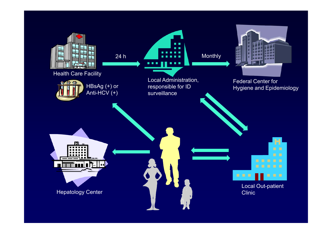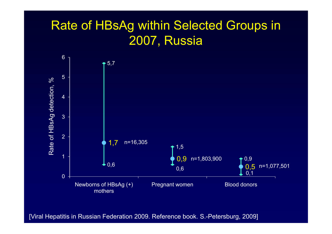# Rate of HBsAg within Selected Groups in 2007, Russia



[Viral Hepatitis in Russian Federation 2009. Reference book. S.-Petersburg, 2009]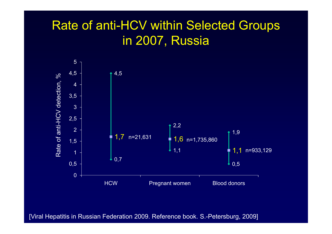# Rate of anti-HCV within Selected Groups in 2007, Russia



[Viral Hepatitis in Russian Federation 2009. Reference book. S.-Petersburg, 2009]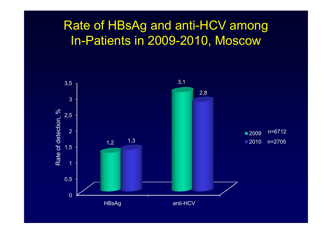## Rate of HBsAg and anti-HCV among In-Patients in 2009-2010, Moscow

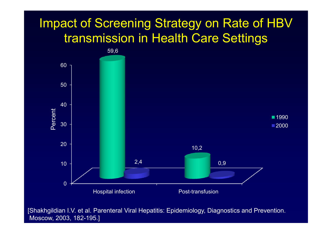# Impact of Screening Strategy on Rate of HBV transmission in Health Care Settings



[Shakhgildian I.V. et al. Parenteral Viral Hepatitis: Epidemiology, Diagnostics and Prevention. Moscow, 2003, 182-195.]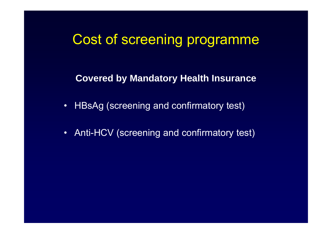# Cost of screening programme

**Covered by Mandatory Health Insurance**

- HBsAg (screening and confirmatory test)
- •Anti-HCV (screening and confirmatory test)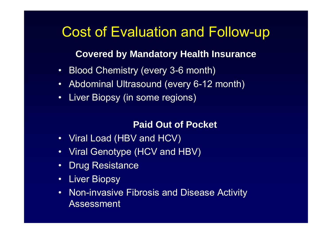# Cost of Evaluation and Follow-up

#### **Covered by Mandatory Health Insurance**

- $\bullet$ Blood Chemistry (every 3-6 month)
- $\bullet$ Abdominal Ultrasound (every 6-12 month)
- $\bullet$ Liver Biopsy (in some regions)

#### **Paid Out of Pocket**

- Viral Load (HBV and HCV)
- Viral Genotype (HCV and HBV)
- $\bullet$ Drug Resistance
- •Liver Biopsy
- • Non-invasive Fibrosis and Disease Activity Assessment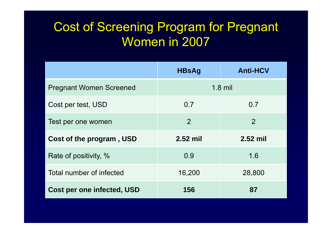# Cost of Screening Program for Pregnant Women in 2007

|                                   | <b>HBsAg</b>   | <b>Anti-HCV</b> |
|-----------------------------------|----------------|-----------------|
| <b>Pregnant Women Screened</b>    | $1.8$ mil      |                 |
| Cost per test, USD                | 0.7            | 0.7             |
| Test per one women                | $\overline{2}$ | $\overline{2}$  |
| Cost of the program, USD          | 2.52 mil       | 2.52 mil        |
| Rate of positivity, %             | 0.9            | 1.6             |
| Total number of infected          | 16,200         | 28,800          |
| <b>Cost per one infected, USD</b> | 156            | 87              |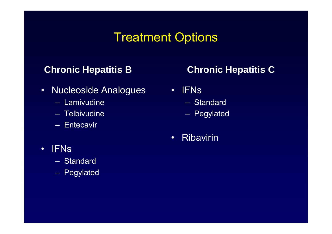# Treatment Options

#### **Chronic Hepatitis B**

- $\bullet$  Nucleoside Analogues
	- Lamivudine
	- Telbivudine
	- Entecavir

#### **Chronic Hepatitis C**

- • IFNs
	- Standard
	- Pegylated
- •Ribavirin

- • IFNs
	- Standard
	- Pegylated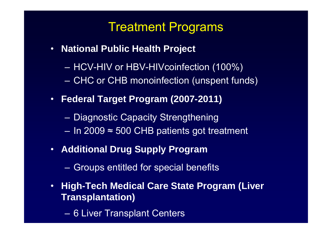## Treatment Programs

- **National Public Health Project**
	- –– HCV-HIV or HBV-HIVcoinfection (100%)
	- **However, Marketing** CHC or CHB monoinfection (unspent funds)
- **Federal Target Program (2007-2011)**
	- –– Diagnostic Capacity Strengthening
	- In 2009 <sup>≈</sup> 500 CHB patients got treatment
- **Additional Drug Supply Program**
	- Groups entitled for special benefits
- • **High-Tech Medical Care State Program (Liver Transplantation)**
	- 6 Liver Transplant Centers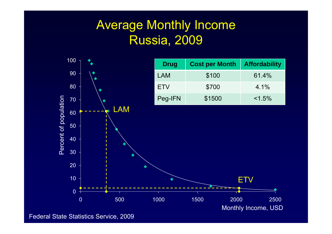# Average Monthly Income Russia, 2009



Federal State Statistics Service, 2009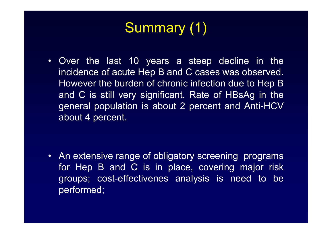# Summary (1)

• Over the last 10 years <sup>a</sup> steep decline in the incidence of acute Hep B and C cases was observed. However the burden of chronic infection due to Hep B and C is still very significant. Rate of HBsAg in the general population is about 2 percent and Anti-HCV about 4 percent.

• An extensive range of obligatory screening programs for Hep B and C is in place, covering major risk groups; cost-effectivenes analysis is need to be performed;